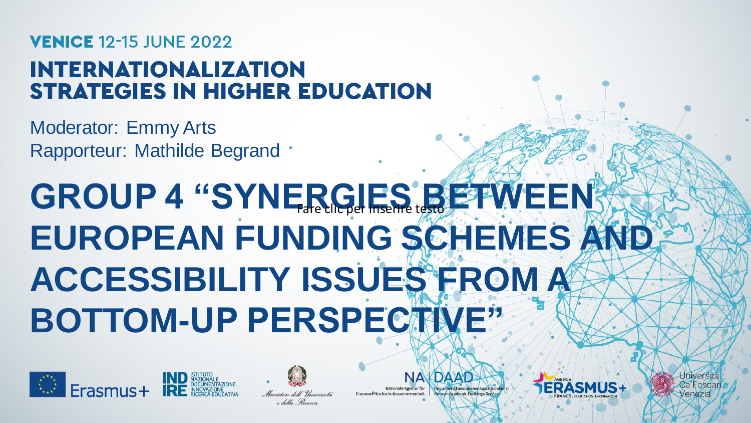## **VENICE 12-15 JUNE 2022**

## **INTERNATIONALIZATION STRATEGIES IN HIGHER EDUCATION**

Moderator: Emmy Arts Rapporteur: Mathilde Begrand .

# **GROUP 4 "SYNERGIES BETWEEN! EUROPEAN FUNDING SCHEMES AND ACCESSIBILITY ISSUES FROM A BOTTOM-UP PERSPECTIVE"**





Nationale Agentur fü Erasmus+Hochschulzusammenarbeit



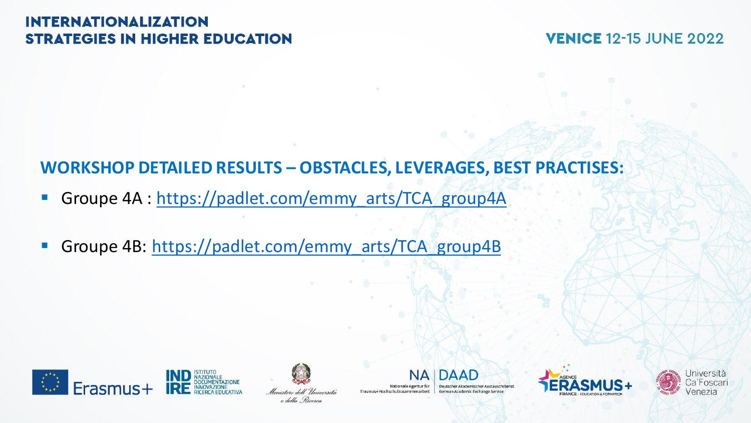#### **INTERNATIONALIZATION STRATEGIES IN HIGHER EDUCATION**

**VENICE 12-15 JUNE 2022** 

## **WORKSHOP DETAILED RESULTS – OBSTACLES, LEVERAGES, BEST PRACTISES:**

- **E** Groupe 4A : [https://padlet.com/emmy\\_arts/TCA\\_group4A](https://padlet.com/emmy_arts/TCA_group4A)
- **· Groupe 4B: [https://padlet.com/emmy\\_arts/TCA\\_group4B](https://padlet.com/emmy_arts/TCA_group4B)**





Nationale Agentur für Erasmus+Hochschulzusammenarbeit

DAAD German Academic Exchange Service



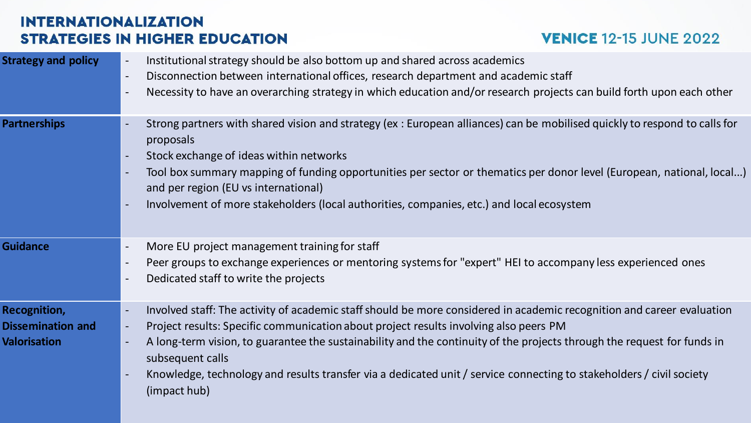#### **INTERNATIONALIZATION STRATEGIES IN HIGHER EDUCATION**

### **VENICE 12-15 JUNE 2022**

| <b>Strategy and policy</b>                                             | Institutional strategy should be also bottom up and shared across academics<br>Disconnection between international offices, research department and academic staff<br>$\blacksquare$<br>Necessity to have an overarching strategy in which education and/or research projects can build forth upon each other                                                                                                                                                                                                                                                                                                |
|------------------------------------------------------------------------|--------------------------------------------------------------------------------------------------------------------------------------------------------------------------------------------------------------------------------------------------------------------------------------------------------------------------------------------------------------------------------------------------------------------------------------------------------------------------------------------------------------------------------------------------------------------------------------------------------------|
| <b>Partnerships</b>                                                    | Strong partners with shared vision and strategy (ex: European alliances) can be mobilised quickly to respond to calls for<br>proposals<br>Stock exchange of ideas within networks<br>$\blacksquare$<br>Tool box summary mapping of funding opportunities per sector or thematics per donor level (European, national, local)<br>and per region (EU vs international)<br>Involvement of more stakeholders (local authorities, companies, etc.) and local ecosystem<br>$\overline{a}$                                                                                                                          |
| <b>Guidance</b>                                                        | More EU project management training for staff<br>$\blacksquare$<br>Peer groups to exchange experiences or mentoring systems for "expert" HEI to accompany less experienced ones<br>Dedicated staff to write the projects<br>$\blacksquare$                                                                                                                                                                                                                                                                                                                                                                   |
| <b>Recognition,</b><br><b>Dissemination and</b><br><b>Valorisation</b> | Involved staff: The activity of academic staff should be more considered in academic recognition and career evaluation<br>$\overline{\phantom{a}}$<br>Project results: Specific communication about project results involving also peers PM<br>$\overline{\phantom{a}}$<br>A long-term vision, to guarantee the sustainability and the continuity of the projects through the request for funds in<br>$\blacksquare$<br>subsequent calls<br>Knowledge, technology and results transfer via a dedicated unit / service connecting to stakeholders / civil society<br>$\overline{\phantom{a}}$<br>(impact hub) |